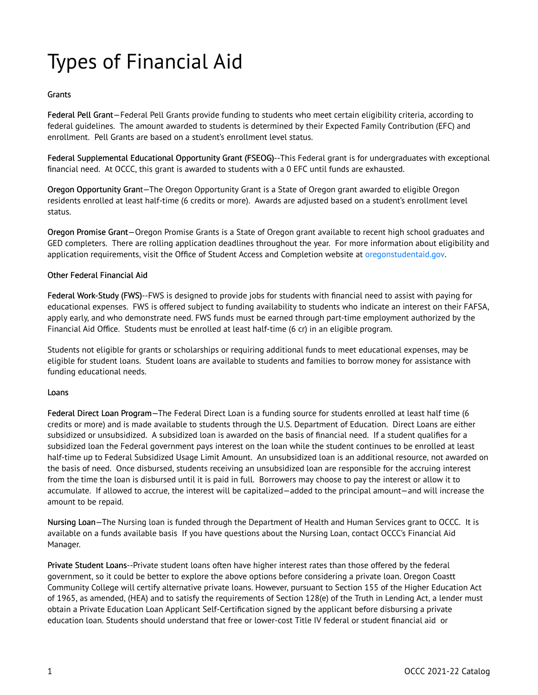## Types of Financial Aid

## Grants

Federal Pell Grant—Federal Pell Grants provide funding to students who meet certain eligibility criteria, according to federal guidelines. The amount awarded to students is determined by their Expected Family Contribution (EFC) and enrollment. Pell Grants are based on a student's enrollment level status.

Federal Supplemental Educational Opportunity Grant (FSEOG)--This Federal grant is for undergraduates with exceptional financial need. At OCCC, this grant is awarded to students with a 0 EFC until funds are exhausted.

Oregon Opportunity Grant—The Oregon Opportunity Grant is a State of Oregon grant awarded to eligible Oregon residents enrolled at least half-time (6 credits or more). Awards are adjusted based on a student's enrollment level status.

Oregon Promise Grant—Oregon Promise Grants is a State of Oregon grant available to recent high school graduates and GED completers. There are rolling application deadlines throughout the year. For more information about eligibility and application requirements, visit the Office of Student Access and Completion website at [oregonstudentaid.gov](https://catalog.oregoncoastcc.org/oregonstudentaid.gov).

## Other Federal Financial Aid

Federal Work-Study (FWS)--FWS is designed to provide jobs for students with financial need to assist with paying for educational expenses. FWS is offered subject to funding availability to students who indicate an interest on their FAFSA, apply early, and who demonstrate need. FWS funds must be earned through part-time employment authorized by the Financial Aid Office. Students must be enrolled at least half-time (6 cr) in an eligible program.

Students not eligible for grants or scholarships or requiring additional funds to meet educational expenses, may be eligible for student loans. Student loans are available to students and families to borrow money for assistance with funding educational needs.

## Loans

Federal Direct Loan Program—The Federal Direct Loan is a funding source for students enrolled at least half time (6 credits or more) and is made available to students through the U.S. Department of Education. Direct Loans are either subsidized or unsubsidized. A subsidized loan is awarded on the basis of financial need. If a student qualifies for a subsidized loan the Federal government pays interest on the loan while the student continues to be enrolled at least half-time up to Federal Subsidized Usage Limit Amount. An unsubsidized loan is an additional resource, not awarded on the basis of need. Once disbursed, students receiving an unsubsidized loan are responsible for the accruing interest from the time the loan is disbursed until it is paid in full. Borrowers may choose to pay the interest or allow it to accumulate. If allowed to accrue, the interest will be capitalized—added to the principal amount—and will increase the amount to be repaid.

Nursing Loan—The Nursing loan is funded through the Department of Health and Human Services grant to OCCC. It is available on a funds available basis If you have questions about the Nursing Loan, contact OCCC's Financial Aid Manager.

Private Student Loans--Private student loans often have higher interest rates than those offered by the federal government, so it could be better to explore the above options before considering a private loan. Oregon Coastt Community College will certify alternative private loans. However, pursuant to Section 155 of the Higher Education Act of 1965, as amended, (HEA) and to satisfy the requirements of Section 128(e) of the Truth in Lending Act, a lender must obtain a Private Education Loan Applicant Self-Certification signed by the applicant before disbursing a private education loan. Students should understand that free or lower-cost Title IV federal or student financial aid or